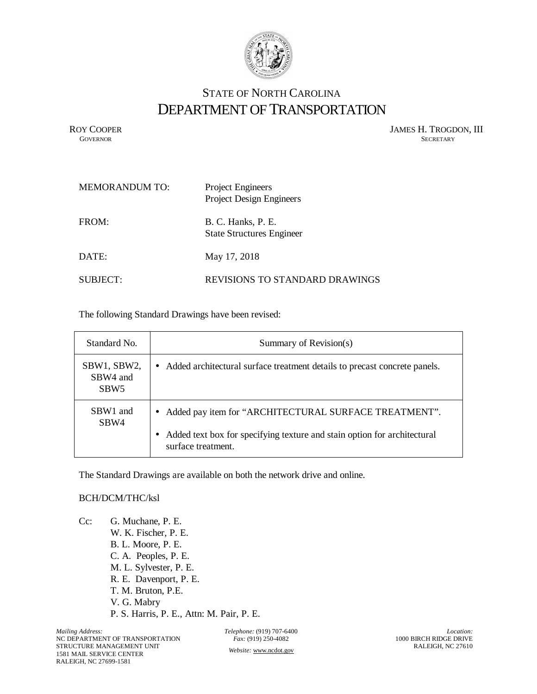

## STATE OF NORTH CAROLINA DEPARTMENT OF TRANSPORTATION

ROY COOPER JAMES H. TROGDON, III GOVERNOR SECRETARY SECRETARY **GOVERNOR** SECRETARY

| MEMORANDUM TO: | <b>Project Engineers</b><br><b>Project Design Engineers</b> |
|----------------|-------------------------------------------------------------|
| FROM:          | B. C. Hanks, P. E.<br><b>State Structures Engineer</b>      |
| DATE:          | May 17, 2018                                                |
| SUBJECT:       | REVISIONS TO STANDARD DRAWINGS                              |

The following Standard Drawings have been revised:

| Standard No.                                | Summary of Revision(s)                                                                                                                                    |
|---------------------------------------------|-----------------------------------------------------------------------------------------------------------------------------------------------------------|
| SBW1, SBW2,<br>SBW4 and<br>SBW <sub>5</sub> | • Added architectural surface treatment details to precast concrete panels.                                                                               |
| SBW1 and<br>SBW4                            | • Added pay item for "ARCHITECTURAL SURFACE TREATMENT".<br>Added text box for specifying texture and stain option for architectural<br>surface treatment. |

The Standard Drawings are available on both the network drive and online.

## BCH/DCM/THC/ksl

Cc: G. Muchane, P. E. W. K. Fischer, P. E. B. L. Moore, P. E. C. A. Peoples, P. E. M. L. Sylvester, P. E. R. E. Davenport, P. E. T. M. Bruton, P.E. V. G. Mabry P. S. Harris, P. E., Attn: M. Pair, P. E.

*Telephone:* (919) 707-6400 *Fax:* (919) 250-4082 *Website:* [www.ncdot.gov](http://www.ncdot.gov/)